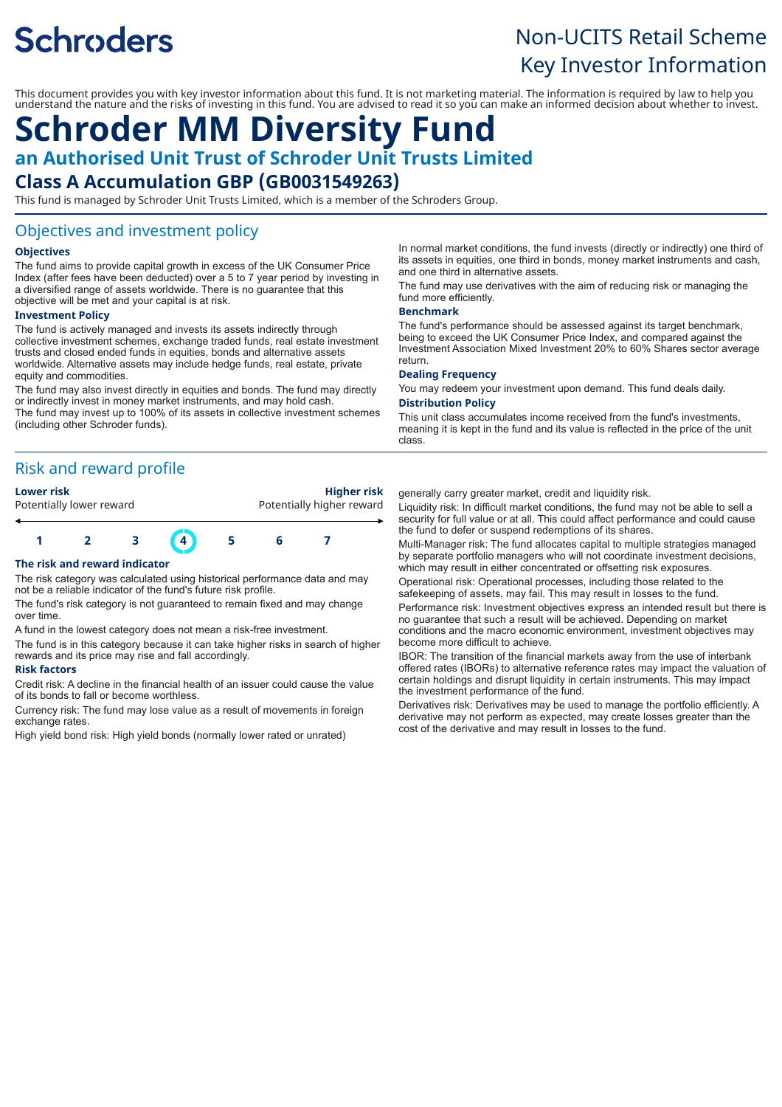# **Schroders**

## Non-UCITS Retail Scheme Key Investor Information

This document provides you with key investor information about this fund. It is not marketing material. The information is required by law to help you understand the nature and the risks of investing in this fund. You are advised to read it so you can make an informed decision about whether to invest.

## **Schroder MM Diversity Fund**

**an Authorised Unit Trust of Schroder Unit Trusts Limited**

## **Class A Accumulation GBP (GB0031549263)**

This fund is managed by Schroder Unit Trusts Limited, which is a member of the Schroders Group.

### Objectives and investment policy

#### **Objectives**

The fund aims to provide capital growth in excess of the UK Consumer Price Index (after fees have been deducted) over a 5 to 7 year period by investing in a diversified range of assets worldwide. There is no guarantee that this objective will be met and your capital is at risk.

#### **Investment Policy**

The fund is actively managed and invests its assets indirectly through collective investment schemes, exchange traded funds, real estate investment trusts and closed ended funds in equities, bonds and alternative assets worldwide. Alternative assets may include hedge funds, real estate, private equity and commodities.

The fund may also invest directly in equities and bonds. The fund may directly or indirectly invest in money market instruments, and may hold cash. The fund may invest up to 100% of its assets in collective investment schemes (including other Schroder funds).

## Risk and reward profile



#### **The risk and reward indicator**

The risk category was calculated using historical performance data and may not be a reliable indicator of the fund's future risk profile.

The fund's risk category is not guaranteed to remain fixed and may change over time.

A fund in the lowest category does not mean a risk-free investment.

The fund is in this category because it can take higher risks in search of higher rewards and its price may rise and fall accordingly.

#### **Risk factors**

Credit risk: A decline in the financial health of an issuer could cause the value of its bonds to fall or become worthless.

Currency risk: The fund may lose value as a result of movements in foreign exchange rates.

High yield bond risk: High yield bonds (normally lower rated or unrated)

In normal market conditions, the fund invests (directly or indirectly) one third of its assets in equities, one third in bonds, money market instruments and cash, and one third in alternative assets.

The fund may use derivatives with the aim of reducing risk or managing the fund more efficiently.

#### **Benchmark**

The fund's performance should be assessed against its target benchmark, being to exceed the UK Consumer Price Index, and compared against the Investment Association Mixed Investment 20% to 60% Shares sector average return.

#### **Dealing Frequency**

You may redeem your investment upon demand. This fund deals daily. **Distribution Policy**

This unit class accumulates income received from the fund's investments, meaning it is kept in the fund and its value is reflected in the price of the unit class.

generally carry greater market, credit and liquidity risk.

Liquidity risk: In difficult market conditions, the fund may not be able to sell a security for full value or at all. This could affect performance and could cause the fund to defer or suspend redemptions of its shares.

Multi-Manager risk: The fund allocates capital to multiple strategies managed by separate portfolio managers who will not coordinate investment decisions, which may result in either concentrated or offsetting risk exposures.

Operational risk: Operational processes, including those related to the safekeeping of assets, may fail. This may result in losses to the fund.

Performance risk: Investment objectives express an intended result but there is no guarantee that such a result will be achieved. Depending on market conditions and the macro economic environment, investment objectives may become more difficult to achieve.

IBOR: The transition of the financial markets away from the use of interbank offered rates (IBORs) to alternative reference rates may impact the valuation of certain holdings and disrupt liquidity in certain instruments. This may impact the investment performance of the fund.

Derivatives risk: Derivatives may be used to manage the portfolio efficiently. A derivative may not perform as expected, may create losses greater than the cost of the derivative and may result in losses to the fund.